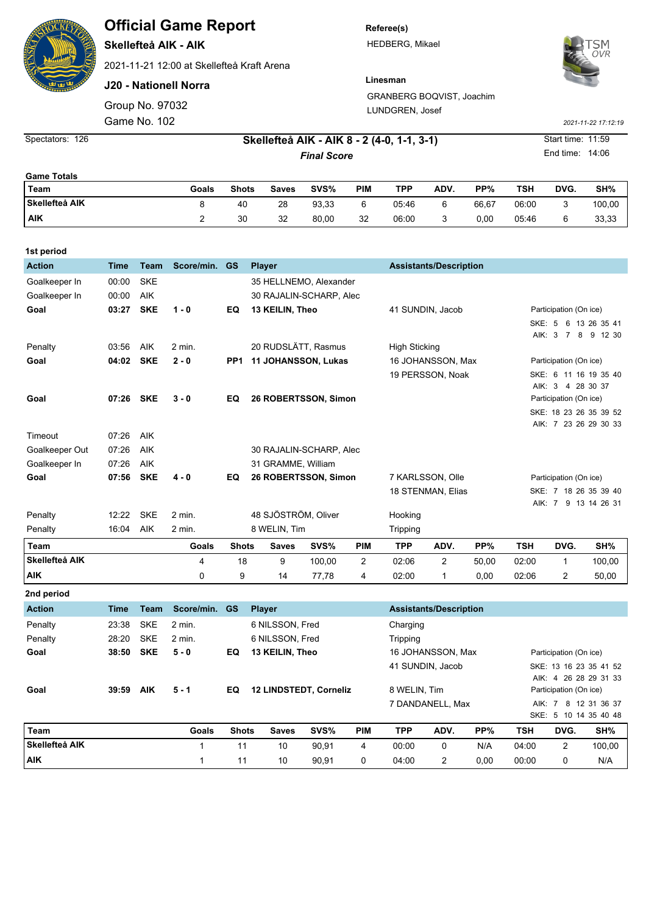## **Official Game Report**

**Skellefteå AIK - AIK**

2021-11-21 12:00 at Skellefteå Kraft Arena

**J20 - Nationell Norra**

Group No. 97032

**Referee(s)** HEDBERG, Mikael



**Linesman** GRANBERG BOQVIST, Joachim LUNDGREN, Josef

Game No. 102 *2021-11-22 17:12:19*

**1st period**

Spectators: 126 **Skellefteå AIK - AIK 8 - 2 (4-0, 1-1, 3-1)** Start time: 11:59 **Final Score** End time: 14:06

| <b>Game Totals</b>    |       |              |       |       |     |       |      |       |       |      |        |
|-----------------------|-------|--------------|-------|-------|-----|-------|------|-------|-------|------|--------|
| Team                  | Goals | <b>Shots</b> | Saves | SVS%  | PIM | TPP   | ADV. | PP%   | TSH   | DVG. | SH%    |
| <b>Skellefteå AIK</b> |       | 40           | 28    | 93,33 | 6   | 05:46 | 6    | 66.67 | 06:00 |      | 100,00 |
| <b>AIK</b>            |       | 30           | 32    | 80,00 | 32  | 06:00 | ບ    | 0,00  | 05:46 |      | 33,33  |

| <b>1St period</b> |             |             |               |              |                            |        |                |                                  |                               |                        |                        |                                             |                              |
|-------------------|-------------|-------------|---------------|--------------|----------------------------|--------|----------------|----------------------------------|-------------------------------|------------------------|------------------------|---------------------------------------------|------------------------------|
| <b>Action</b>     | <b>Time</b> | <b>Team</b> | Score/min. GS |              | <b>Player</b>              |        |                |                                  | <b>Assistants/Description</b> |                        |                        |                                             |                              |
| Goalkeeper In     | 00:00       | <b>SKE</b>  |               |              | 35 HELLNEMO, Alexander     |        |                |                                  |                               |                        |                        |                                             |                              |
| Goalkeeper In     | 00:00       | <b>AIK</b>  |               |              | 30 RAJALIN-SCHARP, Alec    |        |                |                                  |                               |                        |                        |                                             |                              |
| Goal              | 03:27       | <b>SKE</b>  | $1 - 0$       | EQ           | 13 KEILIN, Theo            |        |                | 41 SUNDIN, Jacob                 |                               | Participation (On ice) |                        |                                             |                              |
|                   |             |             |               |              |                            |        |                |                                  |                               |                        |                        |                                             | SKE: 5 6 13 26 35 41         |
|                   |             |             |               |              |                            |        |                |                                  |                               |                        |                        |                                             | AIK: 3 7 8 9 12 30           |
| Penalty           | 03:56       | AIK         | 2 min.        |              | 20 RUDSLÄTT, Rasmus        |        |                | <b>High Sticking</b>             |                               |                        |                        |                                             |                              |
| Goal              | 04:02       | <b>SKE</b>  | $2 - 0$       | PP1          | <b>11 JOHANSSON, Lukas</b> |        |                | 16 JOHANSSON, Max                |                               |                        | Participation (On ice) |                                             |                              |
|                   |             |             |               |              |                            |        |                |                                  | 19 PERSSON, Noak              |                        |                        |                                             | SKE: 6 11 16 19 35 40        |
| Goal              | 07:26       | <b>SKE</b>  | $3 - 0$       | EQ           |                            |        |                |                                  |                               |                        |                        | AlK: 3 4 28 30 37<br>Participation (On ice) |                              |
|                   |             |             |               |              | 26 ROBERTSSON, Simon       |        |                |                                  |                               |                        |                        |                                             | SKE: 18 23 26 35 39 52       |
|                   |             |             |               |              |                            |        |                |                                  |                               |                        |                        |                                             | AIK: 7 23 26 29 30 33        |
| Timeout           | 07:26       | AIK         |               |              |                            |        |                |                                  |                               |                        |                        |                                             |                              |
| Goalkeeper Out    | 07:26       | AIK         |               |              | 30 RAJALIN-SCHARP, Alec    |        |                |                                  |                               |                        |                        |                                             |                              |
| Goalkeeper In     | 07:26       | AIK         |               |              | 31 GRAMME, William         |        |                |                                  |                               |                        |                        |                                             |                              |
| Goal              | 07:56       | <b>SKE</b>  | $4 - 0$       | EQ           | 26 ROBERTSSON, Simon       |        |                | 7 KARLSSON, Olle                 |                               |                        | Participation (On ice) |                                             |                              |
|                   |             |             |               |              |                            |        |                |                                  | 18 STENMAN, Elias             |                        |                        |                                             | SKE: 7 18 26 35 39 40        |
|                   |             |             |               |              |                            |        |                |                                  |                               |                        |                        |                                             | AlK: 7 9 13 14 26 31         |
| Penalty           | 12:22       | <b>SKE</b>  | 2 min.        |              | 48 SJÖSTRÖM, Oliver        |        |                | Hooking                          |                               |                        |                        |                                             |                              |
| Penalty           | 16:04       | AIK         | 2 min.        |              | 8 WELIN, Tim               |        |                | Tripping                         |                               |                        |                        |                                             |                              |
| Team              |             |             | Goals         | <b>Shots</b> | <b>Saves</b>               | SVS%   | PIM            | <b>TPP</b>                       | ADV.                          | PP%                    | <b>TSH</b>             | DVG.                                        | SH%                          |
| Skellefteå AIK    |             |             | 4             | 18           | 9                          | 100,00 | $\overline{2}$ | 02:06                            | $\overline{2}$                | 50,00                  | 02:00                  | $\mathbf{1}$                                | 100,00                       |
| AIK               |             |             | 0             | 9            | 14                         | 77,78  | 4              | 02:00                            | $\mathbf{1}$                  | 0,00                   | 02:06                  | $\overline{2}$                              | 50,00                        |
| 2nd period        |             |             |               |              |                            |        |                |                                  |                               |                        |                        |                                             |                              |
| <b>Action</b>     | <b>Time</b> | <b>Team</b> | Score/min.    | <b>GS</b>    | <b>Player</b>              |        |                |                                  | <b>Assistants/Description</b> |                        |                        |                                             |                              |
| Penalty           | 23:38       | <b>SKE</b>  | 2 min.        |              | 6 NILSSON, Fred            |        |                | Charging                         |                               |                        |                        |                                             |                              |
| Penalty           | 28:20       | <b>SKE</b>  | 2 min.        |              | 6 NILSSON, Fred            |        |                | <b>Tripping</b>                  |                               |                        |                        |                                             |                              |
| Goal              | 38:50       | <b>SKE</b>  | $5 - 0$       | EQ           | 13 KEILIN, Theo            |        |                | 16 JOHANSSON, Max                |                               |                        | Participation (On ice) |                                             |                              |
|                   |             |             |               |              |                            |        |                |                                  | 41 SUNDIN, Jacob              |                        |                        |                                             | SKE: 13 16 23 35 41 52       |
|                   |             |             |               |              |                            |        |                |                                  |                               |                        |                        |                                             | AlK: 4 26 28 29 31 33        |
| Goal              | 39:59       | <b>AIK</b>  | 5 - 1         | EQ           | 12 LINDSTEDT, Corneliz     |        |                | 8 WELIN, Tim<br>7 DANDANELL, Max |                               |                        | Participation (On ice) |                                             |                              |
|                   |             |             |               |              |                            |        |                |                                  |                               |                        |                        |                                             | AlK: 7 8 12 31 36 37         |
| Team              |             |             | Goals         | <b>Shots</b> | <b>Saves</b>               | SVS%   | PIM            | <b>TPP</b>                       | ADV.                          | PP%                    | <b>TSH</b>             | DVG.                                        | SKE: 5 10 14 35 40 48<br>SH% |
| Skellefteå AIK    |             |             | 1             | 11           | 10                         | 90,91  | 4              | 00:00                            | 0                             | N/A                    | 04:00                  | $\overline{2}$                              | 100,00                       |
| <b>AIK</b>        |             |             | $\mathbf{1}$  | 11           | 10                         | 90,91  | $\mathbf 0$    | 04:00                            | $\overline{2}$                | 0.00                   | 00:00                  | 0                                           | N/A                          |
|                   |             |             |               |              |                            |        |                |                                  |                               |                        |                        |                                             |                              |